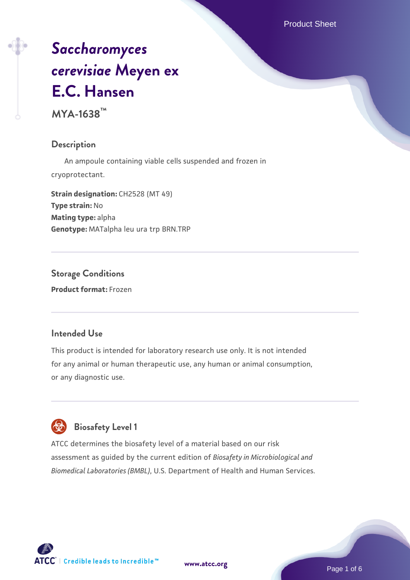Product Sheet

# *[Saccharomyces](https://www.atcc.org/products/mya-1638) [cerevisiae](https://www.atcc.org/products/mya-1638)* **[Meyen ex](https://www.atcc.org/products/mya-1638) [E.C. Hansen](https://www.atcc.org/products/mya-1638)**

**MYA-1638™**

#### **Description**

 An ampoule containing viable cells suspended and frozen in cryoprotectant.

**Strain designation: CH2528 (MT 49) Type strain:** No **Mating type:** alpha **Genotype:** MATalpha leu ura trp BRN.TRP

# **Storage Conditions**

**Product format:** Frozen

#### **Intended Use**

This product is intended for laboratory research use only. It is not intended for any animal or human therapeutic use, any human or animal consumption, or any diagnostic use.

# **Biosafety Level 1**

ATCC determines the biosafety level of a material based on our risk assessment as guided by the current edition of *Biosafety in Microbiological and Biomedical Laboratories (BMBL)*, U.S. Department of Health and Human Services.





Page 1 of 6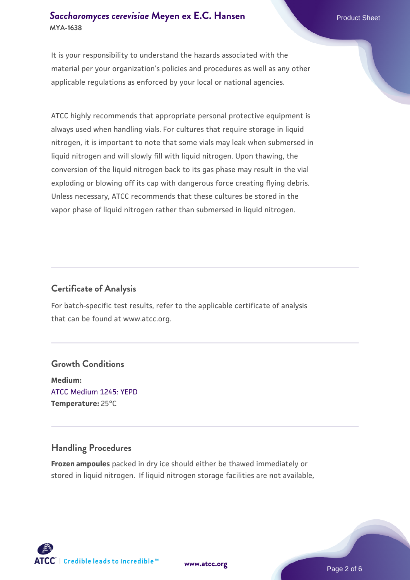# **[Saccharomyces cerevisiae](https://www.atcc.org/products/mya-1638)** [Meyen ex E.C. Hansen](https://www.atcc.org/products/mya-1638) **MYA-1638**

It is your responsibility to understand the hazards associated with the material per your organization's policies and procedures as well as any other applicable regulations as enforced by your local or national agencies.

ATCC highly recommends that appropriate personal protective equipment is always used when handling vials. For cultures that require storage in liquid nitrogen, it is important to note that some vials may leak when submersed in liquid nitrogen and will slowly fill with liquid nitrogen. Upon thawing, the conversion of the liquid nitrogen back to its gas phase may result in the vial exploding or blowing off its cap with dangerous force creating flying debris. Unless necessary, ATCC recommends that these cultures be stored in the vapor phase of liquid nitrogen rather than submersed in liquid nitrogen.

# **Certificate of Analysis**

For batch-specific test results, refer to the applicable certificate of analysis that can be found at www.atcc.org.

# **Growth Conditions**

**Medium:**  [ATCC Medium 1245: YEPD](https://www.atcc.org/-/media/product-assets/documents/microbial-media-formulations/1/2/4/5/atcc-medium-1245.pdf?rev=705ca55d1b6f490a808a965d5c072196) **Temperature:** 25°C

# **Handling Procedures**

**Frozen ampoules** packed in dry ice should either be thawed immediately or stored in liquid nitrogen. If liquid nitrogen storage facilities are not available,

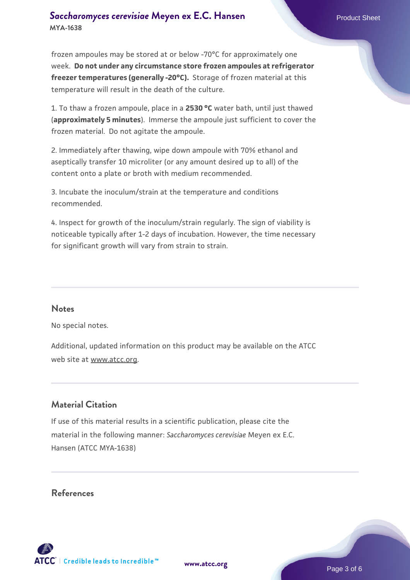# **[Saccharomyces cerevisiae](https://www.atcc.org/products/mya-1638)** [Meyen ex E.C. Hansen](https://www.atcc.org/products/mya-1638) **MYA-1638**

frozen ampoules may be stored at or below -70°C for approximately one week. **Do not under any circumstance store frozen ampoules at refrigerator freezer temperatures (generally -20°C).** Storage of frozen material at this temperature will result in the death of the culture.

1. To thaw a frozen ampoule, place in a **2530 °C** water bath, until just thawed (**approximately 5 minutes**). Immerse the ampoule just sufficient to cover the frozen material. Do not agitate the ampoule.

2. Immediately after thawing, wipe down ampoule with 70% ethanol and aseptically transfer 10 microliter (or any amount desired up to all) of the content onto a plate or broth with medium recommended.

3. Incubate the inoculum/strain at the temperature and conditions recommended.

4. Inspect for growth of the inoculum/strain regularly. The sign of viability is noticeable typically after 1-2 days of incubation. However, the time necessary for significant growth will vary from strain to strain.

#### **Notes**

No special notes.

Additional, updated information on this product may be available on the ATCC web site at www.atcc.org.

# **Material Citation**

If use of this material results in a scientific publication, please cite the material in the following manner: *Saccharomyces cerevisiae* Meyen ex E.C. Hansen (ATCC MYA-1638)

#### **References**



Page 3 of 6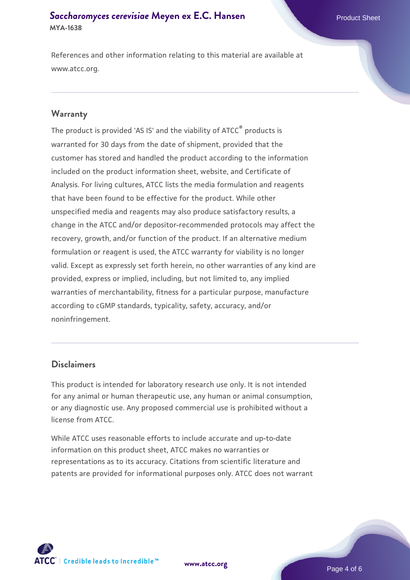# **[Saccharomyces cerevisiae](https://www.atcc.org/products/mya-1638)** [Meyen ex E.C. Hansen](https://www.atcc.org/products/mya-1638) **MYA-1638**

References and other information relating to this material are available at www.atcc.org.

#### **Warranty**

The product is provided 'AS IS' and the viability of ATCC® products is warranted for 30 days from the date of shipment, provided that the customer has stored and handled the product according to the information included on the product information sheet, website, and Certificate of Analysis. For living cultures, ATCC lists the media formulation and reagents that have been found to be effective for the product. While other unspecified media and reagents may also produce satisfactory results, a change in the ATCC and/or depositor-recommended protocols may affect the recovery, growth, and/or function of the product. If an alternative medium formulation or reagent is used, the ATCC warranty for viability is no longer valid. Except as expressly set forth herein, no other warranties of any kind are provided, express or implied, including, but not limited to, any implied warranties of merchantability, fitness for a particular purpose, manufacture according to cGMP standards, typicality, safety, accuracy, and/or noninfringement.

#### **Disclaimers**

This product is intended for laboratory research use only. It is not intended for any animal or human therapeutic use, any human or animal consumption, or any diagnostic use. Any proposed commercial use is prohibited without a license from ATCC.

While ATCC uses reasonable efforts to include accurate and up-to-date information on this product sheet, ATCC makes no warranties or representations as to its accuracy. Citations from scientific literature and patents are provided for informational purposes only. ATCC does not warrant



**[www.atcc.org](http://www.atcc.org)**

Page 4 of 6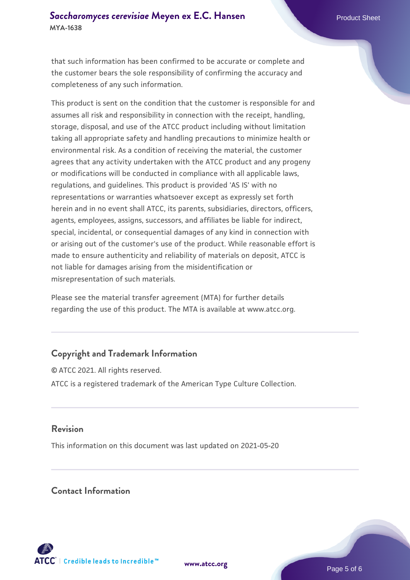that such information has been confirmed to be accurate or complete and the customer bears the sole responsibility of confirming the accuracy and completeness of any such information.

This product is sent on the condition that the customer is responsible for and assumes all risk and responsibility in connection with the receipt, handling, storage, disposal, and use of the ATCC product including without limitation taking all appropriate safety and handling precautions to minimize health or environmental risk. As a condition of receiving the material, the customer agrees that any activity undertaken with the ATCC product and any progeny or modifications will be conducted in compliance with all applicable laws, regulations, and guidelines. This product is provided 'AS IS' with no representations or warranties whatsoever except as expressly set forth herein and in no event shall ATCC, its parents, subsidiaries, directors, officers, agents, employees, assigns, successors, and affiliates be liable for indirect, special, incidental, or consequential damages of any kind in connection with or arising out of the customer's use of the product. While reasonable effort is made to ensure authenticity and reliability of materials on deposit, ATCC is not liable for damages arising from the misidentification or misrepresentation of such materials.

Please see the material transfer agreement (MTA) for further details regarding the use of this product. The MTA is available at www.atcc.org.

# **Copyright and Trademark Information**

© ATCC 2021. All rights reserved. ATCC is a registered trademark of the American Type Culture Collection.

# **Revision**

This information on this document was last updated on 2021-05-20

# **Contact Information**



**[www.atcc.org](http://www.atcc.org)**

Page 5 of 6